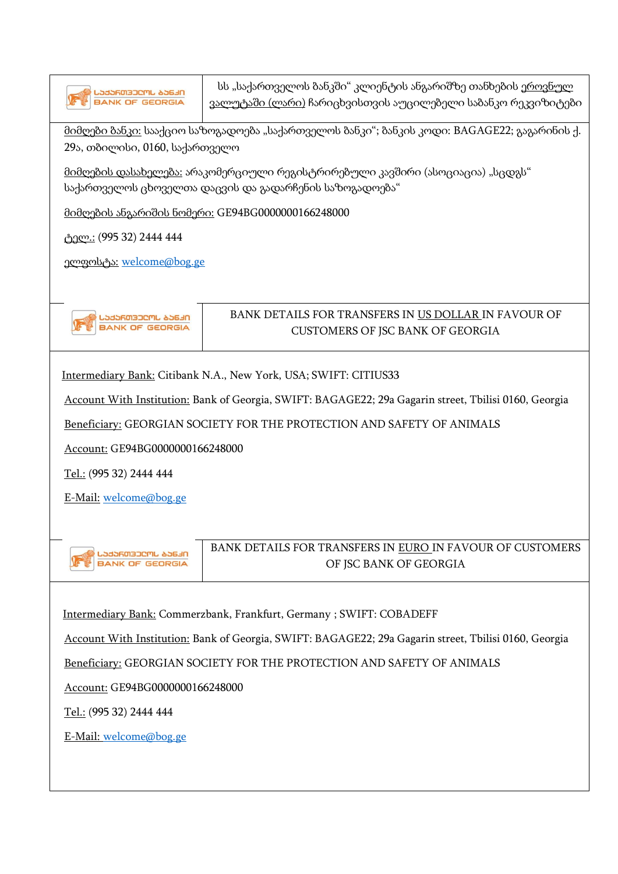



## BANK DETAILS FOR TRANSFERS IN US DOLLAR IN FAVOUR OF CUSTOMERS OF JSC BANK OF GEORGIA

Intermediary Bank: Citibank N.A., New York, USA; SWIFT: CITIUS33

Account With Institution: Bank of Georgia, SWIFT: BAGAGE22; 29a Gagarin street, Tbilisi 0160, Georgia

Beneficiary: GEORGIAN SOCIETY FOR THE PROTECTION AND SAFETY OF ANIMALS

Account: GE94BG0000000166248000

Tel.: (995 32) 2444 444

E-Mail: [welcome@bog.ge](mailto:welcome@bog.ge)



BANK DETAILS FOR TRANSFERS IN EURO IN FAVOUR OF CUSTOMERS OF JSC BANK OF GEORGIA

Intermediary Bank: Commerzbank, Frankfurt, Germany ; SWIFT: COBADEFF

Account With Institution: Bank of Georgia, SWIFT: BAGAGE22; 29a Gagarin street, Tbilisi 0160, Georgia

Beneficiary: GEORGIAN SOCIETY FOR THE PROTECTION AND SAFETY OF ANIMALS

Account: GE94BG0000000166248000

Tel.: (995 32) 2444 444

E-Mail: [welcome@bog.ge](mailto:welcome@bog.ge)